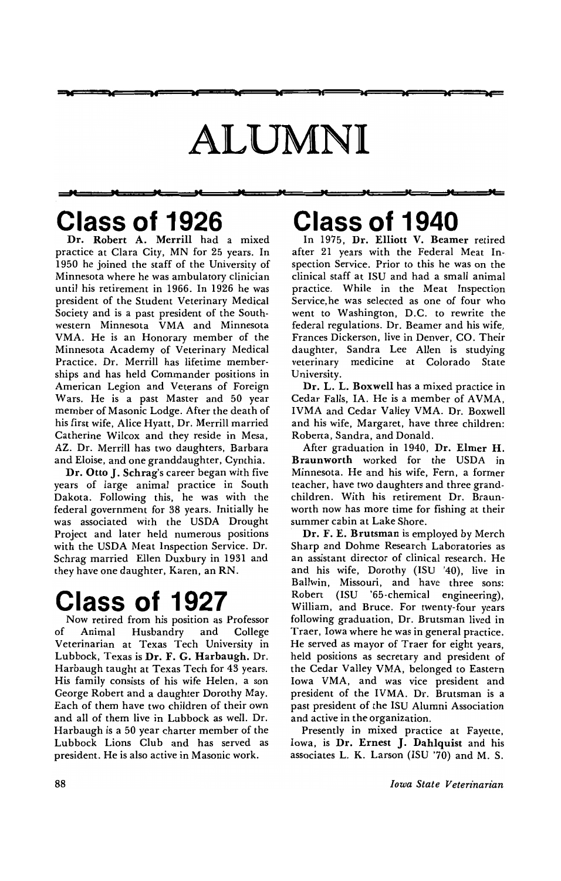# **ALUMNI**

**<sup>w</sup>os w w bd .. tc bC ., ... -**

## **Class of 1926**

**-" M M pc** "

Dr. Robert A. Merrill had a mixed practice at Clara City, MN for 25 years. In 1950 he joined the staff of the University of Minnesota where he was ambulatory clinician until his retirement in 1966. In 1926 he was president of the Student Veterinary Medical Society and is a past president of the South· western Minnesota VMA and Minnesota VMA. He is an Honorary member of the Minnesota Academy of Veterinary Medical Practice. Dr. Merrill has lifetime member· ships and has held Commander positions in American Legion and Veterans of Foreign Wars. He is a past Master and 50 year member of Masonic Lodge. After the death of his first wife, Alice Hyatt, Dr. Merrill married Catherine Wilcox and they reside in Mesa, AZ. Dr. Merrill has two daughters, Barbara and Eloise, and one granddaughter, Cynthia.

Dr. Otto J. Schrag's career began with five years of large animal practice in South Dakota. Following this, he was with the federal government for 38 years. Initially he was associated with the USDA Drought Project and later held numerous positions with the USDA Meat Inspection Service. Dr. Schrag married Ellen Duxbury in 1931 and they have one daughter, Karen, an RN.

### **Class of 1927**

Now retired from his position as Professor Animal Husbandry and College Veterinarian at Texas Tech University in Lubbock, Texas is Dr. F. G. Harbaugh. Dr. Harbaugh taught at Texas Tech for 43 years. His family consists of his wife Helen, a son George Robert and a daughter Dorothy May. Each of them have two children of their own and all of them live in Lubbock as well. Dr. Harbaugh is a 50 year charter member of the Lubbock Lions Club and has served as president. He is also active in Masonic work.

### **" "** PC TC **" Class of 1940**

In 1975, Dr. Elliott V. Beamer retired after 21 years with the Federal Meat Inspection Service. Prior to this he was on the clinical staff at ISU and had a small animal practice. While in the Meat Inspection Service,he was selected as one of four who went to Washington, D.C. to rewrite the federal regulations. Dr. Beamer and his wife, Frances Dickerson, live in Denver, CO. Their daughter, Sandra Lee Allen is studying veterinary medicine at Colorado State University.

Dr. L. L. Boxwell has a mixed practice in Cedar Falls, IA. He is a member of AVMA. IVMA and Cedar Valley VMA. Dr. Boxwell and his wife, Margaret, have three children: Roberta, Sandra, and Donald.

After graduation in 1940, Dr. Elmer H. Braunworth worked for the USDA in Minnesota. He and his wife, Fern, a former teacher, have two daughters and three grandchildren. With his retirement Dr. Braunworth now has more time for fishing at their summer cabin at Lake Shore.

Dr. F. E. Brutsman is employed by Merch Sharp and Dohme Research Laboratories as an assistant director of clinical research. He and his wife, Dorothy (ISU '40), live in Ballwin, Missouri, and have three sons: Robert (ISU '65-chemical engineering), William, and Bruce. For twenty-four years following graduation, Dr. Brutsman lived in Traer, Iowa where he was in general practice. He served as mayor of Traer for eight years, held positions as secretary and president of the Cedar Valley VMA, belonged to Eastern Iowa VMA, and was vice president and president of the IVMA. Dr. Brutsman is a past president of the ISU Alumni Association and active in the organization.

Presently in mixed practice at Fayette, Iowa, is Dr. Ernest J. Dahlquist and his associates L. K. Larson (ISU '70) and M. S.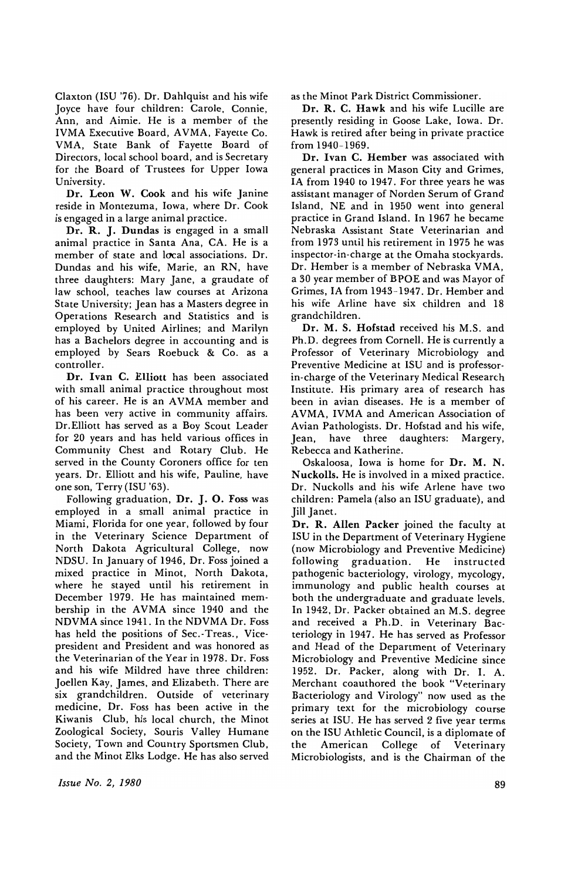Claxton (ISU '76). Dr. Dahlquist and his wife Joyce have four children: Carole, Connie, Ann, and Aimie. He is a member of the IVMA Executive Board, AVMA, Fayette Co. VMA, State Bank of Fayette Board of Directors, local school board, and is Secretary for the Board of Trustees for Upper Iowa University.

Dr. Leon W. Cook and his wife Janine reside in Montezuma, Iowa, where Dr. Cook is engaged in a large animal practice.

Dr. R. J. Dundas is engaged in a small animal practice in Santa Ana, CA. He is a member of state and local associations. Dr. Dundas and his wife, Marie, an RN, have three daughters: Mary Jane, a graudate of law school, teaches law courses at Arizona State University; Jean has a Masters degree in Operations Research and Statistics and is employed by United Airlines; and Marilyn has a Bachelors degree in accounting and is employed by Sears Roebuck & Co. as a controller.

Dr. Ivan C. Elliott has been associated with small animal practice throughout most of his career. He is an AVMA member and has been very active in community affairs. Dr. Elliott has served as a Boy Scout Leader for 20 years and has held various offices in Community Chest and Rotary Club. He served in the County Coroners office for ten years. Dr. Elliott and his wife, Pauline, have one son, Terry (ISU '63).

Following graduation, Dr. J. O. Foss was employed in a small animal practice in Miami, Florida for one year, followed by four in the Veterinary Science Department of North Dakota Agricultural College, now NDSU. In January of 1946, Dr. Foss joined a mixed practice in Minot, North Dakota, where he stayed until his retirement in December 1979. He has maintained membership in the AVMA since 1940 and the NDVMA since 1941. In the NDVMA Dr. Foss has held the positions of Sec.-Treas., Vicepresident and President and was honored as the Veterinarian of the Year in 1978. Dr. Foss and his wife Mildred have three children: Joellen Kay, James, and Elizabeth. There are six grandchildren. Outside of veterinary medicine, Dr. Foss has been active in the Kiwanis Club, his local church, the Minot Zoological Society, Souris Valley Humane Society, Town and Country Sportsmen Club, and the Minot Elks Lodge. He has also served

*Issue No.2, 1980* 

as the Minot Park District Commissioner.

Dr. R. C. Hawk and his wife Lucille are presently residing in Goose Lake, Iowa. Dr. Hawk is retired after being in private practice from 1940-1969.

Dr. Ivan C. Hember was associated with general practices in Mason City and Grimes, IA from 1940 to 1947. For three years he was assistant manager of Norden Serum of Grand Island, NE and in 1950 went into general practice in Grand Island. In 1967 he became Nebraska Assistant State Veterinarian and from 1973 until his retirement in 1975 he was inspector-in-charge at the Omaha stockyards. Dr. Hember is a member of Nebraska VMA, a 30 year member of BPOE and was Mayor of Grimes, IA from 1943-1947. Dr. Hember and his wife Arline have six children and 18 grandchildren.

Dr. M. S. Hofstad received his M.S. and Ph.D. degrees from Cornell. He is currently a Professor of Veterinary Microbiology and Preventive Medicine at ISU and is professorin-charge of the Veterinary Medical Research Institute. His primary area of research has been in avian diseases. He is a member of A VMA, IVMA and American Association of Avian Pathologists. Dr. Hofstad and his wife, Jean, have three daughters: Margery, Rebecca and Katherine.

Oskaloosa, Iowa is home for Dr. M. N. Nuckolls. He is involved in a mixed practice. Dr. Nuckolls and his wife Arlene have two children: Pamela (also an ISU graduate), and Jill Janet.

Dr. R. Allen Packer joined the faculty at ISU in the Department of Veterinary Hygiene (now Microbiology and Preventive Medicine) following graduation. He instructed pathogenic bacteriology, virology, mycology, immunology and public health courses at both the undergraduate and graduate levels. In 1942, Dr. Packer obtained an M.S. degree and received a Ph.D. in Veterinary Bacteriology in 1947. He has served as Professor and Head of the Department of Veterinary Microbiology and Preventive Medicine since 1952. Dr. Packer, along with Dr. I. A. Merchant coauthored the book "Veterinary Bacteriology and Virology" now used as the primary text for the microbiology course series at ISU. He has served 2 five year terms on the ISU Athletic Council, is a diplomate of<br>the American College of Veterinary the American College of Veterinary Microbiologists, and is the Chairman of the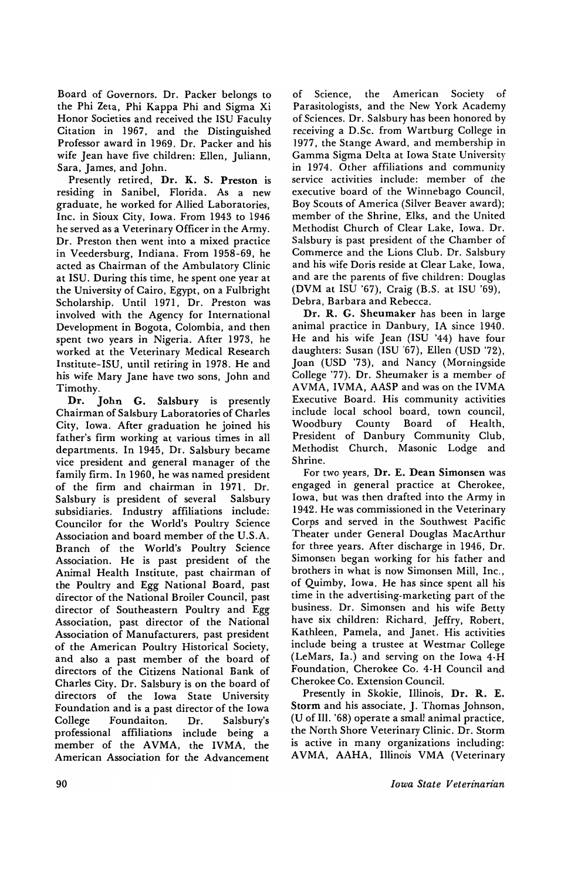Board of Governors. Dr. Packer belongs to the Phi Zeta, Phi Kappa Phi and Sigma Xi Honor Societies and received the ISU Faculty Citation in 1967, and the Distinguished Professor award in 1969. Dr. Packer and his wife Jean have five children: Ellen, Juliann, Sara, James, and John.

Presently retired, Dr. K. S. Preston is residing in Sanibel, Florida. As a new graduate, he worked for Allied Laboratories, Inc. in Sioux City, Iowa. From 1943 to 1946 he served as a Veterinary Officer in the Army. Dr. Preston then went into a mixed practice in Veedersburg, Indiana. From 1958-69, he acted as Chairman of the Ambulatory Clinic at ISU. During this time, he spent one year at the University of Cairo, Egypt, on a Fulbright Scholarship. Until 1971, Dr. Preston was involved with the Agency for International Development in Bogota, Colombia, and then spent two years in Nigeria. After 1973, he worked at the Veterinary Medical Research Institute-ISU, until retiring in 1978. He and his wife Mary Jane have two sons, John and Timothy.

Dr. John G. Salsbury is presently Chairman of Salsbury Laboratories of Charles City, Iowa. After graduation he joined his father's firm working at various times in all departments. In 1945, Dr. Salsbury became vice president and general manager of the family firm. In 1960, he was named president of the firm and chairman in 1971. Dr. Salsbury is president of several Salsbury subsidiaries. Industry affiliations include: Councilor for the World's Poultry Science Association and board member of the U.S.A. Branch of the World's Poultry Science Association. He is past president of the Animal Health Institute, past chairman of the Poultry and Egg National Board, past director of the National Broiler Council, past director of Southeastern Poultry and Egg Association, past director of the National Association of Manufacturers, past president of the American Poultry Historical Society, and also a past member of the board of directors of the Citizens National Bank of Charles City. Dr. Salsbury is on the board of directors of the Iowa State University Foundation and is a past director of the Iowa College Foundaiton. Dr. Salsbury's professional affiliations include being a member of the AVMA, the IVMA, the American Association for the Advancement

of Science, the American Society of Parasitologists, and the New York Academy of Sciences. Dr. Salsbury has been honored by receiving a D.Sc. from Wartburg College in 1977, the Stange Award, and membership in Gamma Sigma Delta at Iowa State University in 1974. Other affiliations and community service activities include: member of the executive board of the Winnebago Council, Boy Scouts of America (Silver Beaver award); member of the Shrine, Elks, and the United Methodist Church of Clear Lake, Iowa. Dr. Salsbury is past president of the Chamber of Commerce and the Lions Club. Dr. Salsbury and his wife Doris reside at Clear Lake, Iowa, and are the parents of five children: Douglas (DVM at ISU '67), Craig (B.S. at ISU '69), Debra, Barbara and Rebecca.

Dr. R. G. Sheumaker has been in large animal practice in Danbury, IA since 1940. He and his· wife Jean (ISU '44) have four daughters: Susan (ISU '67), Ellen (USD '72), Joan (USD '73), and Nancy (Morningside College '77). Dr. Sheumaker is a member of AVMA, IVMA, AASP and was on the IVMA Executive Board. His community activities include local school board, town council, Woodbury County Board of Health, President of Danbury Community Club, Methodist Church, Masonic Lodge and Shrine.

For two years, Dr. E. Dean Simonsen was engaged in general practice at Cherokee, Iowa, but was then drafted into the Army in 1942. He was commissioned in the Veterinary Corps and served in the Southwest Pacific Theater under General Douglas MacArthur for three years. After discharge in 1946, Dr. Simonsen began working for his father and brothers in what is now Simonsen Mill, Inc., of Quimby, Iowa. He has since spent all his time in the advertising-marketing part of the business. Dr. Simonsen and his wife Betty have six children: Richard, Jeffry, Robert, Kathleen, Pamela, and Janet. His activities include being a trustee at Westmar College (LeMars, la.) and serving on the Iowa 4-H Foundation, Cherokee Co. 4·H Council and Cherokee Co. Extension Council.

Presently in Skokie, Illinois, Dr. R. E. Storm and his associate, J. Thomas Johnson, (U of Ill. '68) operate a small animal practice, the North Shore Veterinary Clinic. Dr. Storm is active in many organizations including: AVMA, AAHA, Illinois VMA (Veterinary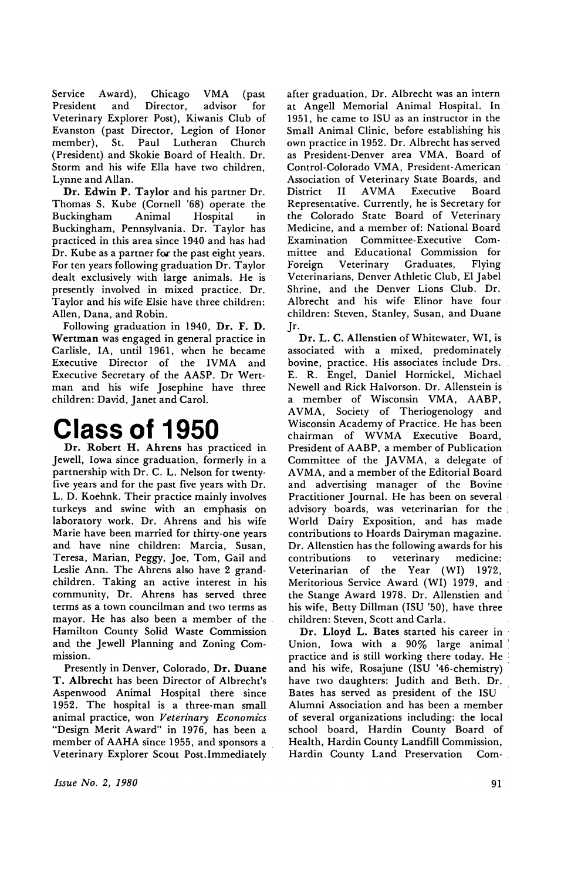Service Award), Chicago VMA (past President and Director, advisor for Veterinary Explorer Post). Kiwanis Club of Evanston (past Director, Legion of Honor member), St. Paul Lutheran Church (President) and Skokie Board of Health. Dr. Storm and his wife Ella have two children, Lynne and Allan.

Dr. Edwin P. Taylor and his partner Dr. Thomas S. Kube (Cornell '68) operate the Buckingham Animal Hospital in Buckingham. Pennsylvania. Dr. Taylor has practiced in this area since 1940 and has had Dr. Kube as a partner for the past eight years. For ten years following graduation Dr. Taylor dealt exclusively with large animals. He is presently involved in mixed practice. Dr. Taylor and his wife Elsie have three children: Allen, Dana, and Robin.

Following graduation in 1940. Dr. F. D. Wertman was engaged in general practice in Carlisle, lA, until 1961, when he became Executive Director of the IVMA and Executive Secretary of the AASP. Dr Wertman and his wife Josephine have three children: David, Janet and Carol.

### **Class of 1950**

Dr. Robert H. Ahrens has practiced in Jewell, Iowa since graduation, formerly in a partnership with Dr. C. L. Nelson for twenty· five years and for the past five years with Dr. L. D. Koehnk. Their practice mainly involves turkeys and swine with an emphasis on laboratory work. Dr. Ahrens and his wife Marie have been married for thirty-one years and have nine children: Marcia, Susan, Teresa, Marian, Peggy, Joe, Tom, Gail and Leslie Ann. The Ahrens also have 2 grandchildren. Taking an active interest in his community, Dr. Ahrens has served three terms as a town councilman and two terms as mayor. He has also been a member of the - Hamilton County Solid Waste Commission and the Jewell Planning and Zoning Commission.

Presently in Denver, Colorado, Dr. Duane T. Albrecht has been Director of Albrecht's Aspenwood Animal Hospital there since 1952. The hospital is a three·man small animal practice, won *Veterinary Economics*  "Design Merit Award" in 1976, has been a member of AAHA since 1955, and sponsors a Veterinary Explorer Scout Post. Immediately

*Issue No.2, 1980* 

after graduation, Dr. Albrecht was an intern at Angell Memorial Animal Hospital. In 1951, he came to ISU as an instructor in the Small Animal Clinic, before establishing his own practice in 1952. Dr. Albrecht has served as President· Denver area VMA, Board of Control-Colorado VMA, President-American' Association of Veterinary State Boards, and District II AVMA Executive Board Representative. Currently, he is Secretary for the Colorado State Board of Veterinary Medicine, and a member of: National Board Examination Committee-Executive Committee and Educational Commission for Foreign Veterinary Graduates, Flying' Veterinarians, Denver Athletic Club, El Jabel Shrine, and the Denver Lions Club. Dr. Albrecht and his wife Elinor have four. children: Steven, Stanley, Susan, and Duane Jr.

Dr. L. C. Allenstien of Whitewater, WI, is associated with a mixed, predominately bovine, practice. His associates include Drs. E. R. Engel, Daniel Hornickel, Michael Newell and Rick Halvorson. Dr. Allenstein is . a member of Wisconsin VMA, AABP, AVMA, Society of Theriogenology and Wisconsin Academy of Practice. He has been chairman of WVMA Executive Board, President of AABP, a member of Publication Committee of the JAVMA, a delegate of: A VMA, and a member of the Editorial Board and advertising manager of the Bovine' Practitioner Journal. He has been on several . advisory boards. was veterinarian for the ; World Dairy Exposition, and has made. contributions to Hoards Dairyman magazine. Dr. Allenstien has the following awards for his contributions to veterinary medicine: Veterinarian of the Year (WI) 1972, Meritorious Service Award (WI) 1979. and: the Stange Award 1978. Dr. Allenstien and' his wife, Betty Dillman (ISU '50), have three children: Steven, Scott and Carla.

Dr. Lloyd L. Bates started his career in Union, Iowa with a 90% large animal: practice and is still working there today. He and his wife, Rosajune (ISU '46-chemistry) have two daughters: Judith and Beth. Dr. Bates has served as president of the ISU Alumni Association and has been a member of several organizations including: the local school board, Hardin County Board of Health, Hardin County Landfill Commission, Hardin County Land Preservation Com·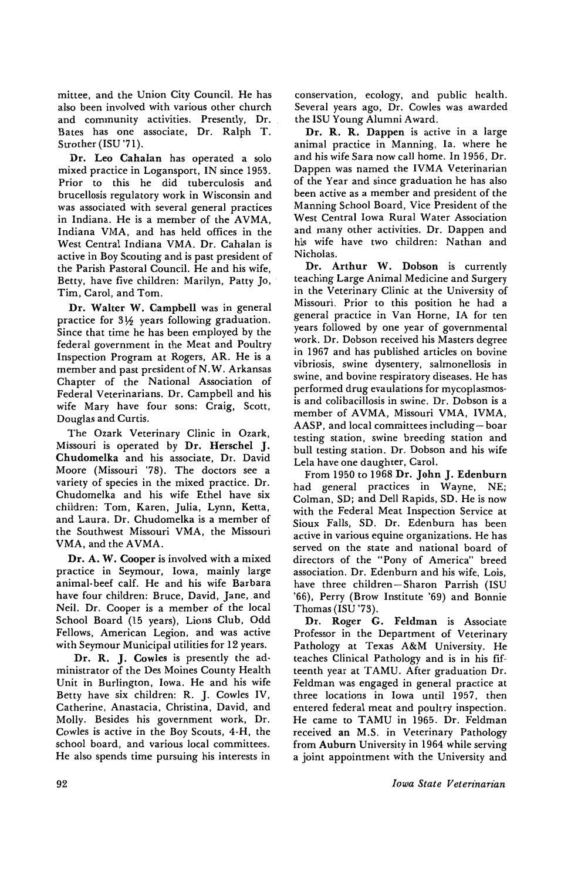mittee, and the Union City Council. He has also been involved with various other church and community activities. Presently, Dr. Bates has one associate, Dr. Ralph T. Strother (ISU '71).

Dr. Leo Cahalan has operated a solo mixed practice in Logansport, IN since 1953. Prior to this he did tuberculosis and brucellosis regulatory work in Wisconsin and was associated with several general practices in Indiana. He is a member of the AVMA, Indiana VMA, and has held offices in the West Central Indiana VMA. Dr. Cahalan is active in Boy Scouting and is past president of the Parish Pastoral Council. He and his wife, Betty, have five children: Marilyn, Patty Jo, Tim, Carol, and Tom.

Dr. Walter W. Campbell was in general practice for  $3\frac{1}{2}$  years following graduation. Since that time he has been employed by the federal government in the Meat and Poultry Inspection Program at Rogers. AR. He is a member and past president of N. W. Arkansas Chapter of the National Association of Federal Veterinarians. Dr. Campbell and his wife Mary have four sons: Craig, Scott. Douglas and Curtis.

The Ozark Veterinary Clinic in Ozark. Missouri is operated by Dr. Herschel J. Chudomelka and his associate, Dr. David Moore (Missouri '78). The doctors see a variety of species in the mixed practice. Dr. Chudomelka and his wife Ethel have six children: Tom, Karen. Julia. Lynn. Ketta, and Laura. Dr. Chudomelka is a member of the Southwest Missouri VMA, the Missouri VMA, and the AVMA.

Dr. A. W. Cooper is involved with a mixed practice in Seymour. Iowa, mainly large animal-beef calf. He and his wife Barbara have four children: Bruce. David. Jane. and Neil. Dr. Cooper is a member of the local School Board (15 years). Lions Club. Odd Fellows. American Legion. and was active with Seymour Municipal utilities for 12 years.

Dr. R. J. Cowles is presently the administrator of the Des Moines County Health Unit in Burlington. Iowa. He and his wife Betty have six children: R. J. Cowles IV. Catherine. Anastacia. Christina, David. and Molly. Besides his government work, Dr. Cowles is active in the Boy Scouts. 4-H. the school board, and various local committees. He also spends time pursuing his interests in

conservation, ecology, and public health. Several years ago, Dr. Cowles was awarded the ISU Young Alumni Award.

Dr. R. R. Dappen is active in a large animal practice in Manning, la. where he and his wife Sara now call home. In 1956, Dr. Dappen was named the IVMA Veterinarian of the Year and since graduation he has also been active as a member and president of the Manning School Board, Vice President of the West Central Iowa Rural Water Association and many other activities. Dr. Dappen and his wife have two children: Nathan and Nicholas.

Dr. Arthur W. Dobson is currently teaching Large Animal Medicine and Surgery in the Veterinary Clinic at the University of Missouri. Prior to this position he had a general practice in Van Horne, IA for ten years followed by one year of governmental work. Dr. Dobson received his Masters degree in 1967 and has published articles on bovine vibriosis, swine dysentery, salmonellosis in swine, and bovine respiratory diseases. He has performed drug evaulations for mycoplasmosis and colibacillosis in swine. Dr. Dobson is a member of AVMA, Missouri VMA, IVMA, AASP, and local committees including-boar testing station, swine breeding station and bull testing station. Dr. Dobson and his wife Lela have one daughter, Carol.

From 1950 to 1968 Dr. John J. Edenburn had general practices in Wayne, NE; Colman, SD; and Dell Rapids, SD. He is now with the Federal Meat Inspection Service at Sioux Falls. SD. Dr. Edenburn has been active in various equine organizations. He has served on the state and national board of directors of the "Pony of America" breed association. Dr. Edenburn and his wife, Lois, have three children-Sharon Parrish (ISU '66), Perry (Brow Institute '69) and Bonnie Thomas (ISU '73).

Dr. Roger G. Feldman is Associate Professor in the Department of Veterinary Pathology at Texas A&M University. He teaches Clinical Pathology and is in his fifteenth year at TAMU. After graduation Dr. Feldman was engaged in general practice at three locations in Iowa until 1957, then entered federal meat and poultry inspection. He came to TAMU in 1965. Dr. Feldman received an M.S. in Veterinary Pathology from Auburn University in 1964 while serving a joint appointment with the University and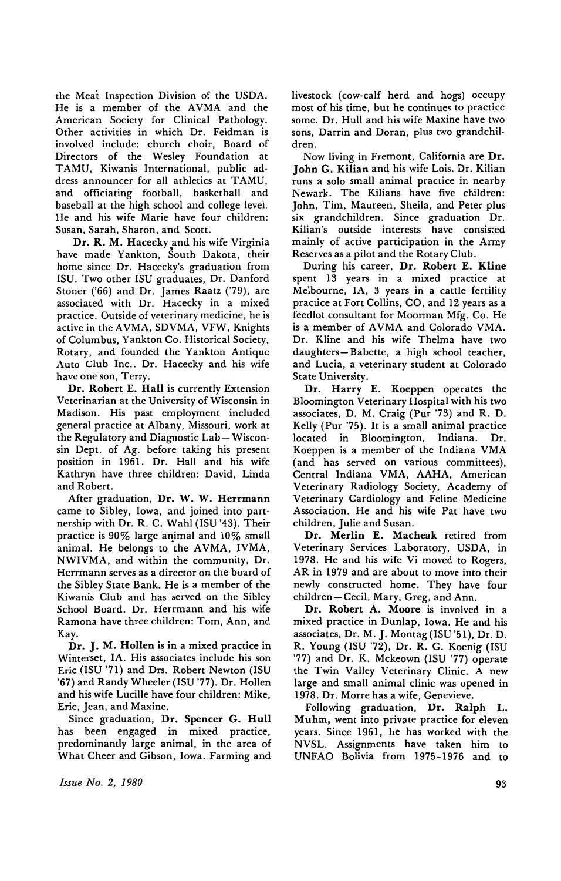the Meat Inspection Division of the USDA. He is a member of the AVMA and the American Society for Clinical Pathology. Other activities in which Dr. Feldman is involved include: church choir, Board of Directors of the Wesley Foundation at TAMU, Kiwanis International, public address announcer for all athletics at TAMU, and officiating football, basketball and baseball at the high school and college level. He and his wife Marie have four children: Susan, Sarah, Sharon, and Scott.

Dr, R. M. Hacecky and his wife Virginia have made Yankton, South Dakota, their home since Dr. Hacecky's graduation from ISU. Two other ISU graduates, Dr. Danford Stoner ('66) and Dr. James Raatz ('79), are associated with Dr. Hacecky in a mixed practice. Outside of veterinary medicine, he is active in the AVMA, SDVMA, VFW, Knights of Columbus, Yankton Co. Historical Society, Rotary, and founded the Yankton Antique Auto Club Inc.. Dr. Hacecky and his wife have one son, Terry.

Dr. Robert E. Hall is currently Extension Veterinarian at the University of Wisconsin in Madison. His past employment included general practice at Albany, Missouri, work at the Regulatory and Diagnostic Lab-Wisconsin Dept. of Ag. before taking his present position in 1961. Dr. Hall and his wife Kathryn have three children: David, Linda and Robert.

After graduation, Dr. W. W. Herrmann came to Sibley, Iowa, and joined into partnership with Dr. R. C. Wahl (ISU '43). Their practice is  $90\%$  large animal and  $10\%$  small animal. He belongs to the AVMA, IVMA, NWIVMA, and within the community, Dr. Herrmann serves as a director on the board of the Sibley State Bank. He is a member of the Kiwanis Club and has served on the Sibley School Board. Dr. Herrmann and his wife Ramona have three children: Tom, Ann, and Kay.

Dr. J. M. Hollen is in a mixed practice in Winterset, IA. His associates include his son Eric (ISU '71) and Drs. Robert Newton (ISU '67) and Randy Wheeler (ISU '77). Dr. Hollen and his wife Lucille have four children: Mike, Eric, Jean, and Maxine.

Since graduation, Dr. Spencer G. Hull has been engaged in mixed practice, predominantly large animal, in the area of What Cheer and Gibson, Iowa. Farming and livestock (cow-calf herd and hogs) occupy most of his time, but he continues to practice some. Dr. Hull and his wife Maxine have two sons, Darrin and Doran, plus two grandchil· dren.

Now living in Fremont, California are Dr. John G. Kilian and his wife Lois. Dr. Kilian runs a solo small animal practice in nearby Newark. The Kilians have five children: John, Tim, Maureen, Sheila, and Peter plus six grandchildren. Since graduation Dr. Kilian's outside interests have consisted mainly of active participation in the Army Reserves as a pilot and the Rotary Club.

During his career, Dr. Robert E. Kline spent 13 years in a mixed practice at Melbourne, lA, 3 years in a cattle fertility practice at Fort Collins, CO, and 12 years as a feedlot consultant for Moorman Mfg. Co. He is a member of AVMA and Colorado VMA. Dr. Kline and his wife Thelma have two daughters- Babette, a high school teacher, and Lucia, a veterinary student at Colorado State University.

Dr. Harry E. Koeppen operates the Bloomington Veterinary Hospital with his two associates, D. M. Craig (Pur '73) and R. D. Kelly (Pur '75). It is a small animal practice located in Bloomington, Indiana. Dr. Koeppen is a member of the Indiana VMA (and has served on various committees), Central Indiana VMA, AAHA, American Veterinary Radiology Society, Academy of Veterinary Cardiology and Feline Medicine Association. He and his wife Pat have two children, Julie and Susan.

Dr. Merlin E. Macheak retired from Veterinary Services Laboratory, USDA, in 1978. He and his wife Vi moved to Rogers, AR in 1979 and are about to move into their newly constructed home. They have four children-Cecil, Mary, Greg, and Ann.

Dr. Robert A. Moore is involved in a mixed practice in Dunlap, Iowa. He and his associates, Dr. M. J. Montag (ISU '51), Dr. D. R. Young (ISU '72), Dr. R. G. Koenig (ISU '77) and Dr. K. Mckeown (ISU '77) operate the Twin Valley Veterinary Clinic. A new large and small animal clinic was opened in 1978. Dr. Morre has a wife, Genevieve.

Following graduation, Dr. Ralph L. Muhm, went into private practice for eleven years. Since 1961, he has worked with the NVSL. Assignments have taken him to UNFAO Bolivia from 1975-1976 and to

*Issue No.2, 1980*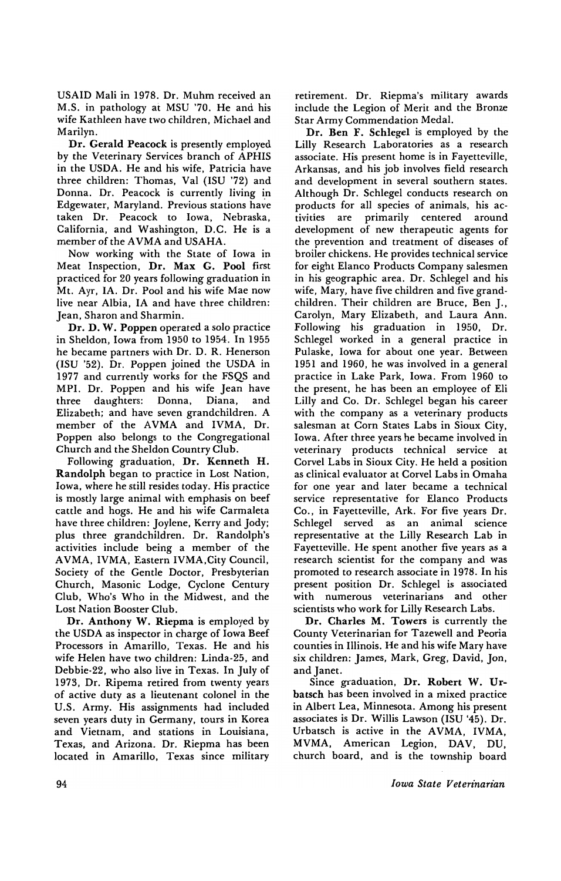USAID Mali in 1978. Dr. Muhm received an M.S. in pathology at MSU '70. He and his wife Kathleen have two children, Michael and Marilyn.

Dr. Gerald Peacock is presently employed by the Veterinary Services branch of APHIS in the USDA. He and his wife, Patricia have three children: Thomas, Val (ISU '72) and Donna. Dr. Peacock is currently living in Edgewater, Maryland. Previous stations have taken Dr. Peacock to Iowa, Nebraska, California, and Washington, D.C. He is a member of the AVMA and USAHA.

Now working with the State of Iowa in Meat Inspection, Dr. Max G. Pool first practiced for 20 years following graduation in Mt. Ayr, IA. Dr. Pool and his wife Mae now live near Albia, IA and have three children: Jean, Sharon and Sharmin.

Dr. D. W. Poppen operated a solo practice in Sheldon, Iowa from 1950 to 1954. In 1955 he became partners with Dr. D. R. Henerson (ISU '52). Dr. Poppen joined the USDA in 1977 and currently works for the FSQS and MPI. Dr. Poppen and his wife Jean have three daughters: Donna, Diana, and Elizabeth; and have seven grandchildren. A member of the AVMA and IVMA, Dr. Poppen also belongs to the Congregational Church and the Sheldon Country Club.

Following graduation, Dr. Kenneth H. Randolph began to practice in Lost Nation, Iowa, where he still resides today. His practice is mostly large animal with emphasis on beef cattle and hogs. He and his wife Carmaleta have three children: Joylene, Kerry and Jody; plus three grandchildren. Dr. Randolph's activities include being a member of the AVMA, IVMA, Eastern IVMA,City Council, Society of the Gentle Doctor, Presbyterian Church, Masonic Lodge, Cyclone Century Club, Who's Who in the Midwest, and the Lost Nation Booster Club.

Dr. Anthony W. Riepma is employed by the USDA as inspector in charge of Iowa Beef Processors in Amarillo, Texas. He and his wife Helen have two children: Linda-25, and Debbie-22, who also live in Texas. In July of 1973, Dr. Ripema retired from twenty years of active duty as a lieutenant colonel in the U.S. Army. His assignments had included seven years duty in Germany, tours in Korea and Vietnam, and stations in Louisiana, Texas, and Arizona. Dr. Riepma has been located in Amarillo, Texas since military

retirement. Dr. Riepma's military awards include the Legion of Merit and the Bronze Star Army Commendation Medal.

Dr. Ben F. Schlegel is employed by the Lilly Research Laboratories as a research associate. His present home is in Fayetteville, Arkansas, and his job involves field research and development in several southern states. Although Dr. Schlegel conducts research on products for all species of animals, his activities are primarily centered around development of new therapeutic agents for the prevention and treatment of diseases of broiler chickens. He provides technical service for eight Elanco Products Company salesmen in his geographic area. Dr. Schlegel and his wife, Mary, have five children and five grandchildren. Their children are Bruce, Ben J., Carolyn, Mary Elizabeth, and Laura Ann. Following his graduation in 1950, Dr. Schlegel worked in a general practice in Pulaske, Iowa for about one year. Between 1951 and 1960, he was involved in a general practice in Lake Park, Iowa. From 1960 to the present, he has been an employee of Eli Lilly and Co. Dr. Schlegel began his career with the company as a veterinary products salesman at Corn States Labs in Sioux City, Iowa. After three years he became involved in veterinary products technical service at Corvel Labs in Sioux City. He held a position as clinical evaluator at Corvel Labs in Omaha for one year and later became a technical service representative for Elanco Products Co., in Fayetteville, Ark. For five years Dr. Schlegel served as an animal science representative at the Lilly Research Lab in Fayetteville. He spent another five years as a research scientist for the company and was promoted to research associate in 1978. In his present position Dr. Schlegel is associated with numerous veterinarians and other scientists who work for Lilly Research Labs.

Dr. Charles M. Towers is currently the County Veterinarian for Tazewell and Peoria counties in Illinois. He and his wife Mary have six children: James, Mark, Greg, David, Jon, and Janet.

Since graduation, Dr. Robert W. Urbatsch has been involved in a mixed practice in Albert Lea, Minnesota. Among his present associates is Dr. Willis Lawson (ISU '45). Dr. Urbatsch is active in the AVMA, IVMA, MVMA, American Legion. DAV, DU, church board. and is the township board